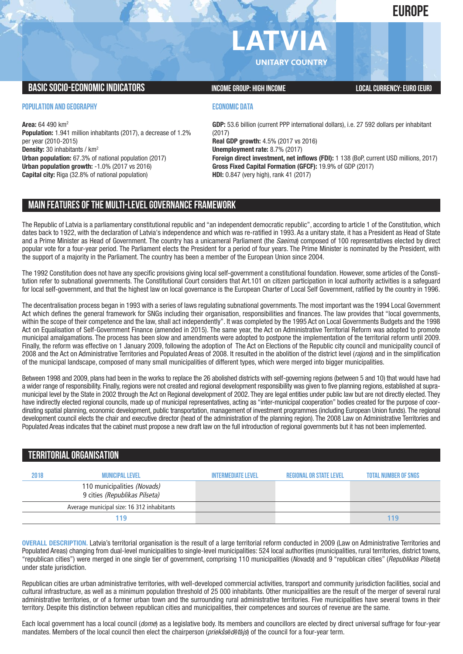**EUROPE**

# **LATVIA**

**UNITARY COUNTRY**

## **BASIC SOCIO-ECONOMIC INDICATORS INCOME GROUP:** HIGH INCOME GROUP: HIGH INCOME

### **POPULATION AND GEOGRAPHY**

**Area:** 64 490 km2 **Population:** 1.941 million inhabitants (2017), a decrease of 1.2% per year (2010-2015) **Density:** 30 inhabitants / km2 **Urban population:** 67.3% of national population (2017) **Urban population growth:** -1.0% (2017 vs 2016) **Capital city:** Riga (32.8% of national population)

## **ECONOMIC DATA**

**GDP:** 53.6 billion (current PPP international dollars), i.e. 27 592 dollars per inhabitant (2017) **Real GDP growth:** 4.5% (2017 vs 2016) **Unemployment rate:** 8.7% (2017) **Foreign direct investment, net inflows (FDI):** 1 138 (BoP, current USD millions, 2017) **Gross Fixed Capital Formation (GFCF):** 19.9% of GDP (2017) **HDI:** 0.847 (very high), rank 41 (2017)

# **MAIN FEATURESOFTHE MULTI-LEVELGOVERNANCEFRAMEWORK**

The Republic of Latvia is a parliamentary constitutional republic and "an independent democratic republic", according to article 1 of the Constitution, which dates back to 1922, with the declaration of Latvia's independence and which was re-ratified in 1993. As a unitary state, it has a President as Head of State and a Prime Minister as Head of Government. The country has a unicameral Parliament (the *Saeima*) composed of 100 representatives elected by direct popular vote for a four-year period. The Parliament elects the President for a period of four years. The Prime Minister is nominated by the President, with the support of a majority in the Parliament. The country has been a member of the European Union since 2004.

The 1992 Constitution does not have any specific provisions giving local self-government a constitutional foundation. However, some articles of the Constitution refer to subnational governments. The Constitutional Court considers that Art.101 on citizen participation in local authority activities is a safeguard for local self-government, and that the highest law on local governance is the European Charter of Local Self Government, ratified by the country in 1996.

The decentralisation process began in 1993 with a series of laws regulating subnational governments. The most important was the 1994 Local Government Act which defines the general framework for SNGs including their organisation, responsibilities and finances. The law provides that "local governments, within the scope of their competence and the law, shall act independently". It was completed by the 1995 Act on Local Governments Budgets and the 1998 Act on Equalisation of Self-Government Finance (amended in 2015). The same year, the Act on Administrative Territorial Reform was adopted to promote municipal amalgamations. The process has been slow and amendments were adopted to postpone the implementation of the territorial reform until 2009. Finally, the reform was effective on 1 January 2009, following the adoption of The Act on Elections of the Republic city council and municipality council of 2008 and the Act on Administrative Territories and Populated Areas of 2008. It resulted in the abolition of the district level (*rajons*) and in the simplification of the municipal landscape, composed of many small municipalities of different types, which were merged into bigger municipalities.

Between 1998 and 2009, plans had been in the works to replace the 26 abolished districts with self-governing regions (between 5 and 10) that would have had a wider range of responsibility. Finally, regions were not created and regional development responsibility was given to five planning regions, established at supramunicipal level by the State in 2002 through the Act on Regional development of 2002. They are legal entities under public law but are not directly elected. They have indirectly elected regional councils, made up of municipal representatives, acting as "inter-municipal cooperation" bodies created for the purpose of coordinating spatial planning, economic development, public transportation, management of investment programmes (including European Union funds). The regional development council elects the chair and executive director (head of the administration of the planning region). The 2008 Law on Administrative Territories and Populated Areas indicates that the cabinet must propose a new draft law on the full introduction of regional governments but it has not been implemented.

# **TERRITORIALORGANISATION**

| 2018 | <b>MUNICIPAL LEVEL</b>                                       | <b>INTERMEDIATE LEVEL</b> | <b>REGIONAL OR STATE LEVEL</b> | <b>TOTAL NUMBER OF SNGS</b> |
|------|--------------------------------------------------------------|---------------------------|--------------------------------|-----------------------------|
|      | 110 municipalities (Novads)<br>9 cities (Republikas Pilseta) |                           |                                |                             |
|      | Average municipal size: 16 312 inhabitants                   |                           |                                |                             |
|      | 119                                                          |                           |                                |                             |

**OVERALL DESCRIPTION.** Latvia's territorial organisation is the result of a large territorial reform conducted in 2009 (Law on Administrative Territories and Populated Areas) changing from dual-level municipalities to single-level municipalities: 524 local authorities (municipalities, rural territories, district towns, "republican cities") were merged in one single tier of government, comprising 110 municipalities (*Novads*) and 9 "republican cities" (*Republikas Pilseta*) under state jurisdiction.

Republican cities are urban administrative territories, with well-developed commercial activities, transport and community jurisdiction facilities, social and cultural infrastructure, as well as a minimum population threshold of 25 000 inhabitants. Other municipalities are the result of the merger of several rural administrative territories, or of a former urban town and the surrounding rural administrative territories. Five municipalities have several towns in their territory. Despite this distinction between republican cities and municipalities, their competences and sources of revenue are the same.

Each local government has a local council (*dome*) as a legislative body. Its members and councillors are elected by direct universal suffrage for four-year mandates. Members of the local council then elect the chairperson (*priekšsēdētājs*) of the council for a four-year term.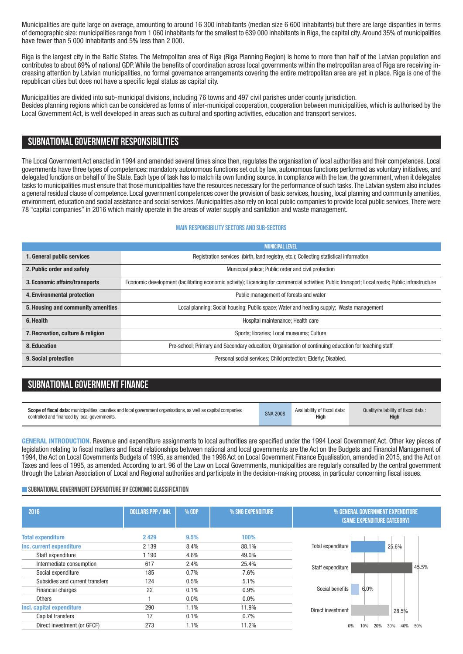Municipalities are quite large on average, amounting to around 16 300 inhabitants (median size 6 600 inhabitants) but there are large disparities in terms of demographic size: municipalities range from 1 060 inhabitants for the smallest to 639 000 inhabitants in Riga, the capital city.Around 35% of municipalities have fewer than 5 000 inhabitants and 5% less than 2 000.

Riga is the largest city in the Baltic States. The Metropolitan area of Riga (Riga Planning Region) is home to more than half of the Latvian population and contributes to about 69% of national GDP.While the benefits of coordination across local governments within the metropolitan area of Riga are receiving increasing attention by Latvian municipalities, no formal governance arrangements covering the entire metropolitan area are yet in place. Riga is one of the republican cities but does not have a specific legal status as capital city.

Municipalities are divided into sub-municipal divisions, including 76 towns and 497 civil parishes under county jurisdiction. Besides planning regions which can be considered as forms of inter-municipal cooperation, cooperation between municipalities, which is authorised by the Local Government Act, is well developed in areas such as cultural and sporting activities, education and transport services.

## **SUBNATIONALGOVERNMENT RESPONSIBILITIES**

The Local Government Act enacted in 1994 and amended several times since then, regulates the organisation of local authorities and their competences. Local governments have three types of competences: mandatory autonomous functions set out by law, autonomous functions performed as voluntary initiatives, and delegated functions on behalf of the State. Each type of task has to match its own funding source. In compliance with the law, the government, when it delegates tasks to municipalities must ensure that those municipalities have the resources necessary for the performance of such tasks.The Latvian system also includes a general residual clause of competence. Local government competences cover the provision of basic services, housing, local planning and community amenities, environment, education and social assistance and social services. Municipalities also rely on local public companies to provide local public services.There were 78 "capital companies" in 2016 which mainly operate in the areas of water supply and sanitation and waste management.

#### **Main responsibilitysectors and sub-sectors**

|                                    | <b>MUNICIPAL LEVEL</b>                                                                                                                           |
|------------------------------------|--------------------------------------------------------------------------------------------------------------------------------------------------|
| 1. General public services         | Registration services (birth, land registry, etc.); Collecting statistical information                                                           |
| 2. Public order and safety         | Municipal police; Public order and civil protection                                                                                              |
| 3. Economic affairs/transports     | Economic development (facilitating economic activity); Licencing for commercial activities; Public transport; Local roads; Public infrastructure |
| 4. Environmental protection        | Public management of forests and water                                                                                                           |
| 5. Housing and community amenities | Local planning; Social housing; Public space; Water and heating supply; Waste management                                                         |
| 6. Health                          | Hospital maintenance; Health care                                                                                                                |
| 7. Recreation, culture & religion  | Sports; libraries; Local museums; Culture                                                                                                        |
| 8. Education                       | Pre-school; Primary and Secondary education; Organisation of continuing education for teaching staff                                             |
| 9. Social protection               | Personal social services; Child protection; Elderly; Disabled.                                                                                   |

# **SUBNATIONAL GOVERNMENT FINANCE**

| Scope of fiscal data: municipalities, counties and local government organisations, as well as capital companies | <b>SNA 2008</b> | Availability of fiscal data: | Quality/reliability of fiscal data: |
|-----------------------------------------------------------------------------------------------------------------|-----------------|------------------------------|-------------------------------------|
| controlled and financed by local governments.                                                                   |                 | <b>High</b>                  | <b>High</b>                         |

**GENERAL INTRODUCTION.** Revenue and expenditure assignments to local authorities are specified under the 1994 Local Government Act. Other key pieces of legislation relating to fiscal matters and fiscal relationships between national and local governments are the Act on the Budgets and Financial Management of 1994, the Act on Local Governments Budgets of 1995, as amended, the 1998 Act on Local Government Finance Equalisation, amended in 2015, and the Act on Taxes and fees of 1995, as amended. According to art. 96 of the Law on Local Governments, municipalities are regularly consulted by the central government through the Latvian Association of Local and Regional authorities and participate in the decision-making process, in particular concerning fiscal issues.

#### **SUBNATIONAL GOVERNMENT EXPENDITURE BY ECONOMIC CLASSIFICATION**

| 2016                            | <b>DOLLARS PPP / INH.</b> | % GDP | % SNG EXPENDITURE | % GENERAL GOVERNMENT EXPENDITURE<br><b>(SAME EXPENDITURE CATEGORY)</b> |
|---------------------------------|---------------------------|-------|-------------------|------------------------------------------------------------------------|
| <b>Total expenditure</b>        | 2 4 2 9                   | 9.5%  | 100%              |                                                                        |
| Inc. current expenditure        | 2 1 3 9                   | 8.4%  | 88.1%             | Total expenditure<br>25.6%                                             |
| Staff expenditure               | 1 190                     | 4.6%  | 49.0%             |                                                                        |
| Intermediate consumption        | 617                       | 2.4%  | 25.4%             | 45.5%<br>Staff expenditure                                             |
| Social expenditure              | 185                       | 0.7%  | 7.6%              |                                                                        |
| Subsidies and current transfers | 124                       | 0.5%  | 5.1%              |                                                                        |
| <b>Financial charges</b>        | 22                        | 0.1%  | 0.9%              | 6.0%<br>Social benefits                                                |
| <b>Others</b>                   |                           | 0.0%  | $0.0\%$           |                                                                        |
| Incl. capital expenditure       | 290                       | 1.1%  | 11.9%             | Direct investment<br>28.5%                                             |
| Capital transfers               | 17                        | 0.1%  | 0.7%              |                                                                        |
| Direct investment (or GFCF)     | 273                       | 1.1%  | 11.2%             | 50%<br>20%<br>40%<br>10%<br>30%<br>0%                                  |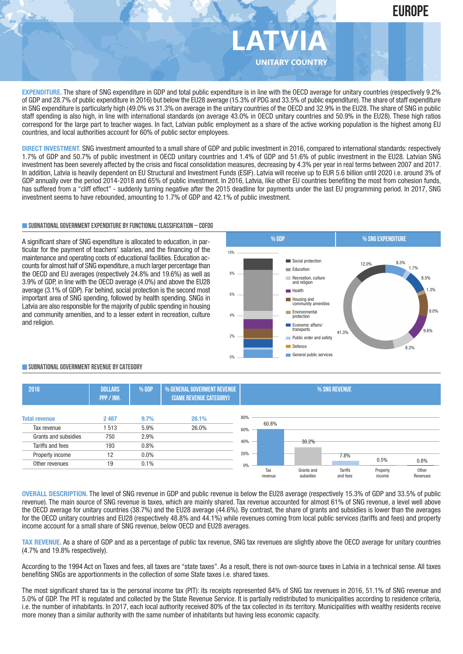

**EXPENDITURE.** The share of SNG expenditure in GDP and total public expenditure is in line with the OECD average for unitary countries (respectively 9.2% of GDP and 28.7% of public expenditure in 2016) but below the EU28 average (15.3% of PDG and 33.5% of public expenditure). The share of staff expenditure in SNG expenditure is particularly high (49.0% vs 31.3% on average in the unitary countries of the OECD and 32.9% in the EU28. The share of SNG in public staff spending is also high, in line with international standards (on average 43.0% in OECD unitary countries and 50.9% in the EU28). These high ratios correspond for the large part to teacher wages. In fact, Latvian public employment as a share of the active working population is the highest among EU countries, and local authorities account for 60% of public sector employees.

**DIRECT INVESTMENT.** SNG investment amounted to a small share of GDP and public investment in 2016, compared to international standards: respectively 1.7% of GDP and 50.7% of public investment in OECD unitary countries and 1.4% of GDP and 51.6% of public investment in the EU28. Latvian SNG investment has been severely affected by the crisis and fiscal consolidation measures, decreasing by 4.3% per year in real terms between 2007 and 2017. In addition, Latvia is heavily dependent on EU Structural and Investment Funds (ESIF). Latvia will receive up to EUR 5.6 billion until 2020 i.e. around 3% of GDP annually over the period 2014-2018 and 65% of public investment. In 2016, Latvia, like other EU countries benefiting the most from cohesion funds, has suffered from a "cliff effect" - suddenly turning negative after the 2015 deadline for payments under the last EU programming period. In 2017, SNG investment seems to have rebounded, amounting to 1.7% of GDP and 42.1% of public investment.

#### **SUBNATIONALGOVERNMENTEXPENDITURE BYFUNCTIONALCLASSIFICATION – COFOG**

A significant share of SNG expenditure is allocated to education, in particular for the payment of teachers' salaries, and the financing of the maintenance and operating costs of educational facilities. Education accounts for almost half of SNG expenditure, a much larger percentage than the OECD and EU averages (respectively 24.8% and 19.6%) as well as 3.9% of GDP, in line with the OECD average (4.0%) and above the EU28 average (3.1% of GDP). Far behind, social protection is the second most important area of SNG spending, followed by health spending. SNGs in Latvia are also responsible for the majority of public spending in housing and community amenities, and to a lesser extent in recreation, culture and religion.



#### **SUBNATIONALGOVERNMENT REVENUE BYCATEGORY**

| 2016                 | <b>DOLLARS</b><br>PPP / INH. | % GDP   | % GENERAL GOVERMENT REVENUE<br>(SAME REVENUE CATEGORY) | % SNG REVENUE |                |  |                         |                     |                    |                   |
|----------------------|------------------------------|---------|--------------------------------------------------------|---------------|----------------|--|-------------------------|---------------------|--------------------|-------------------|
| <b>Total revenue</b> | 2 4 8 7                      | 9.7%    | 26.1%                                                  | 80%           | 60.8%          |  |                         |                     |                    |                   |
| Tax revenue          | 513                          | 5.9%    | 26.0%                                                  | 60%           |                |  |                         |                     |                    |                   |
| Grants and subsidies | 750                          | 2.9%    |                                                        |               |                |  | 30.2%                   |                     |                    |                   |
| Tariffs and fees     | 193                          | 0.8%    |                                                        | 40%           |                |  |                         |                     |                    |                   |
| Property income      | 12                           | $0.0\%$ |                                                        | 20%           |                |  |                         | 7.8%                |                    |                   |
| Other revenues       | 19                           | 0.1%    |                                                        | 0%            |                |  |                         |                     | 0.5%               | 0.8%              |
|                      |                              |         |                                                        |               | Tax<br>revenue |  | Grants and<br>subsidies | Tariffs<br>and fees | Property<br>income | Other<br>Revenues |

**OVERALL DESCRIPTION.** The level of SNG revenue in GDP and public revenue is below the EU28 average (respectively 15.3% of GDP and 33.5% of public revenue). The main source of SNG revenue is taxes, which are mainly shared. Tax revenue accounted for almost 61% of SNG revenue, a level well above the OECD average for unitary countries (38.7%) and the EU28 average (44.6%). By contrast, the share of grants and subsidies is lower than the averages for the OECD unitary countries and EU28 (respectively 48.8% and 44.1%) while revenues coming from local public services (tariffs and fees) and property income account for a small share of SNG revenue, below OECD and EU28 averages.

**TAX REVENUE.** As a share of GDP and as a percentage of public tax revenue, SNG tax revenues are slightly above the OECD average for unitary countries (4.7% and 19.8% respectively).

According to the 1994 Act on Taxes and fees, all taxes are "state taxes". As a result, there is not own-source taxes in Latvia in a technical sense. All taxes benefiting SNGs are apportionments in the collection of some State taxes i.e. shared taxes.

The most significant shared tax is the personal income tax (PIT): its receipts represented 84% of SNG tax revenues in 2016, 51.1% of SNG revenue and 5.0% of GDP. The PIT is regulated and collected by the State Revenue Service. It is partially redistributed to municipalities according to residence criteria, i.e. the number of inhabitants. In 2017, each local authority received 80% of the tax collected in its territory. Municipalities with wealthy residents receive more money than a similar authority with the same number of inhabitants but having less economic capacity.